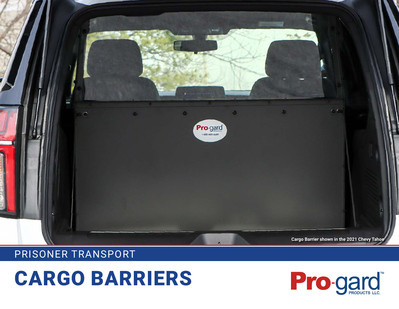

## PRISONER TRANSPORT

## CARGO BARRIERS